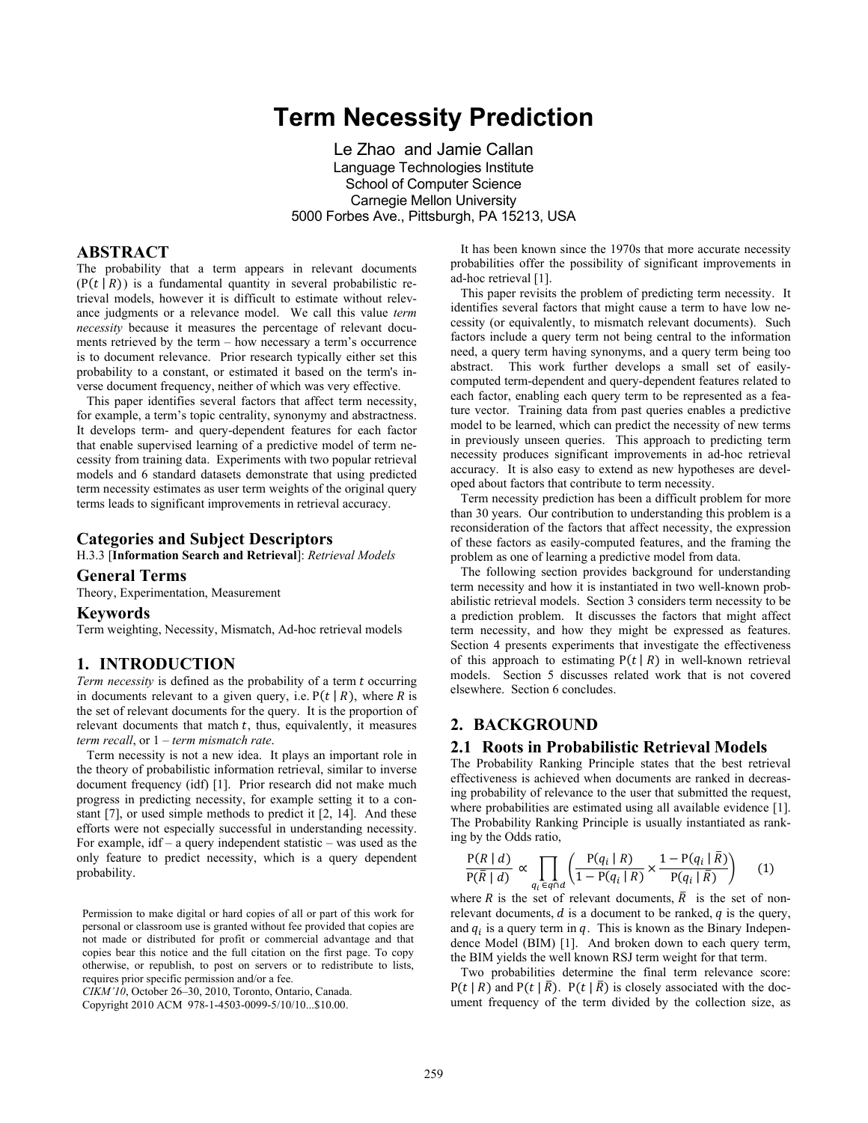# **Term Necessity Prediction**

Le Zhao and Jamie Callan Language Technologies Institute School of Computer Science Carnegie Mellon University 5000 Forbes Ave., Pittsburgh, PA 15213, USA

# **ABSTRACT**

The probability that a term appears in relevant documents  $(P(t | R))$  is a fundamental quantity in several probabilistic retrieval models, however it is difficult to estimate without relevance judgments or a relevance model. We call this value *term necessity* because it measures the percentage of relevant documents retrieved by the term – how necessary a term's occurrence is to document relevance. Prior research typically either set this probability to a constant, or estimated it based on the term's inverse document frequency, neither of which was very effective.

This paper identifies several factors that affect term necessity, for example, a term's topic centrality, synonymy and abstractness. It develops term- and query-dependent features for each factor that enable supervised learning of a predictive model of term necessity from training data. Experiments with two popular retrieval models and 6 standard datasets demonstrate that using predicted term necessity estimates as user term weights of the original query terms leads to significant improvements in retrieval accuracy.

#### **Categories and Subject Descriptors**

H.3.3 [**Information Search and Retrieval**]: *Retrieval Models* 

# **General Terms**

Theory, Experimentation, Measurement

#### **Keywords**

Term weighting, Necessity, Mismatch, Ad-hoc retrieval models

# **1. INTRODUCTION**

*Term necessity* is defined as the probability of a term t occurring in documents relevant to a given query, i.e.  $P(t | R)$ , where R is the set of relevant documents for the query. It is the proportion of relevant documents that match  $t$ , thus, equivalently, it measures *term recall*, or 1 – *term mismatch rate*.

Term necessity is not a new idea. It plays an important role in the theory of probabilistic information retrieval, similar to inverse document frequency (idf) [1]. Prior research did not make much progress in predicting necessity, for example setting it to a constant [7], or used simple methods to predict it [2, 14]. And these efforts were not especially successful in understanding necessity. For example, idf – a query independent statistic – was used as the only feature to predict necessity, which is a query dependent probability.

Permission to make digital or hard copies of all or part of this work for personal or classroom use is granted without fee provided that copies are not made or distributed for profit or commercial advantage and that copies bear this notice and the full citation on the first page. To copy otherwise, or republish, to post on servers or to redistribute to lists, requires prior specific permission and/or a fee.

*CIKM'10*, October 26–30, 2010, Toronto, Ontario, Canada.

Copyright 2010 ACM 978-1-4503-0099-5/10/10...\$10.00.

It has been known since the 1970s that more accurate necessity probabilities offer the possibility of significant improvements in ad-hoc retrieval [1].

This paper revisits the problem of predicting term necessity. It identifies several factors that might cause a term to have low necessity (or equivalently, to mismatch relevant documents). Such factors include a query term not being central to the information need, a query term having synonyms, and a query term being too abstract. This work further develops a small set of easilycomputed term-dependent and query-dependent features related to each factor, enabling each query term to be represented as a feature vector. Training data from past queries enables a predictive model to be learned, which can predict the necessity of new terms in previously unseen queries. This approach to predicting term necessity produces significant improvements in ad-hoc retrieval accuracy. It is also easy to extend as new hypotheses are developed about factors that contribute to term necessity.

Term necessity prediction has been a difficult problem for more than 30 years. Our contribution to understanding this problem is a reconsideration of the factors that affect necessity, the expression of these factors as easily-computed features, and the framing the problem as one of learning a predictive model from data.

The following section provides background for understanding term necessity and how it is instantiated in two well-known probabilistic retrieval models. Section 3 considers term necessity to be a prediction problem. It discusses the factors that might affect term necessity, and how they might be expressed as features. Section 4 presents experiments that investigate the effectiveness of this approach to estimating  $P(t | R)$  in well-known retrieval models. Section 5 discusses related work that is not covered elsewhere. Section 6 concludes.

# **2. BACKGROUND**

#### **2.1 Roots in Probabilistic Retrieval Models**

The Probability Ranking Principle states that the best retrieval effectiveness is achieved when documents are ranked in decreasing probability of relevance to the user that submitted the request, where probabilities are estimated using all available evidence [1]. The Probability Ranking Principle is usually instantiated as ranking by the Odds ratio,

$$
\frac{P(R \mid d)}{P(\overline{R} \mid d)} \propto \prod_{q_i \in q \cap d} \left( \frac{P(q_i \mid R)}{1 - P(q_i \mid R)} \times \frac{1 - P(q_i \mid \overline{R})}{P(q_i \mid \overline{R})} \right) \tag{1}
$$

where R is the set of relevant documents,  $\overline{R}$  is the set of nonrelevant documents,  $d$  is a document to be ranked,  $q$  is the query, and  $q_i$  is a query term in  $q_i$ . This is known as the Binary Independence Model (BIM) [1]. And broken down to each query term, the BIM yields the well known RSJ term weight for that term.

Two probabilities determine the final term relevance score:  $P(t | R)$  and  $P(t | \overline{R})$ .  $P(t | \overline{R})$  is closely associated with the document frequency of the term divided by the collection size, as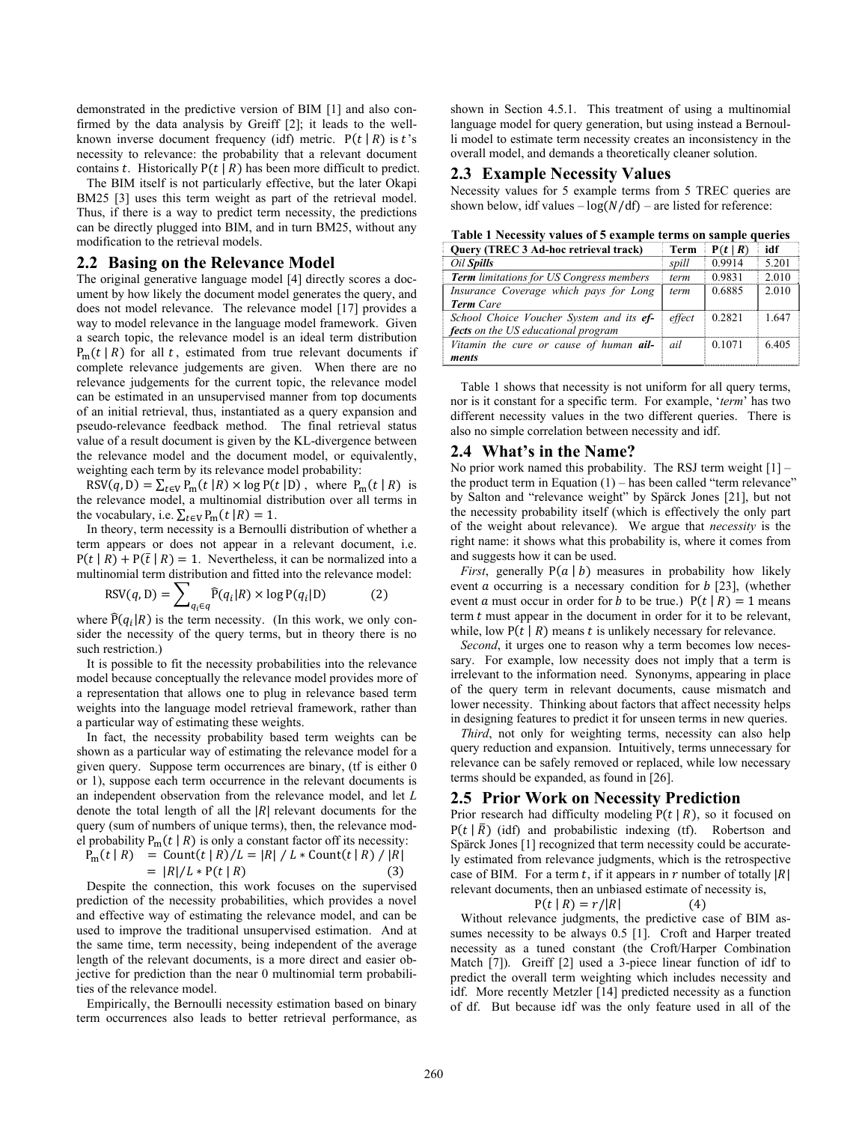demonstrated in the predictive version of BIM [1] and also confirmed by the data analysis by Greiff [2]; it leads to the wellknown inverse document frequency (idf) metric.  $P(t | R)$  is t's necessity to relevance: the probability that a relevant document contains t. Historically  $P(t | R)$  has been more difficult to predict.

The BIM itself is not particularly effective, but the later Okapi BM25 [3] uses this term weight as part of the retrieval model. Thus, if there is a way to predict term necessity, the predictions can be directly plugged into BIM, and in turn BM25, without any modification to the retrieval models.

# **2.2 Basing on the Relevance Model**

The original generative language model [4] directly scores a document by how likely the document model generates the query, and does not model relevance. The relevance model [17] provides a way to model relevance in the language model framework. Given a search topic, the relevance model is an ideal term distribution  $P_m(t | R)$  for all t, estimated from true relevant documents if complete relevance judgements are given. When there are no relevance judgements for the current topic, the relevance model can be estimated in an unsupervised manner from top documents of an initial retrieval, thus, instantiated as a query expansion and pseudo-relevance feedback method. The final retrieval status value of a result document is given by the KL-divergence between the relevance model and the document model, or equivalently, weighting each term by its relevance model probability:

 $RSV(q, D) = \sum_{t \in V} P_m(t | R) \times \log P(t | D)$ , where  $P_m(t | R)$  is the relevance model, a multinomial distribution over all terms in the vocabulary, i.e.  $\sum_{t \in V} P_m(t | R) = 1$ .

In theory, term necessity is a Bernoulli distribution of whether a term appears or does not appear in a relevant document, i.e.  $P(t | R) + P(\bar{t} | R) = 1$ . Nevertheless, it can be normalized into a multinomial term distribution and fitted into the relevance model:

$$
RSV(q, D) = \sum_{q_i \in q} \widehat{P}(q_i | R) \times \log P(q_i | D)
$$
 (2)

where  $\widehat{P}(q_i|R)$  is the term necessity. (In this work, we only consider the necessity of the query terms, but in theory there is no such restriction.)

It is possible to fit the necessity probabilities into the relevance model because conceptually the relevance model provides more of a representation that allows one to plug in relevance based term weights into the language model retrieval framework, rather than a particular way of estimating these weights.

In fact, the necessity probability based term weights can be shown as a particular way of estimating the relevance model for a given query. Suppose term occurrences are binary, (tf is either 0 or 1), suppose each term occurrence in the relevant documents is an independent observation from the relevance model, and let *L* denote the total length of all the  $|R|$  relevant documents for the query (sum of numbers of unique terms), then, the relevance model probability  $P_m(t | R)$  is only a constant factor off its necessity:

$$
P_m(t | R) = \text{Count}(t | R) / L = |R| / L * \text{Count}(t | R) / |R|
$$
  
= |R| / L \* P(t | R) (3)

Despite the connection, this work focuses on the supervised prediction of the necessity probabilities, which provides a novel and effective way of estimating the relevance model, and can be used to improve the traditional unsupervised estimation. And at the same time, term necessity, being independent of the average length of the relevant documents, is a more direct and easier objective for prediction than the near 0 multinomial term probabilities of the relevance model.

Empirically, the Bernoulli necessity estimation based on binary term occurrences also leads to better retrieval performance, as

shown in Section 4.5.1. This treatment of using a multinomial language model for query generation, but using instead a Bernoulli model to estimate term necessity creates an inconsistency in the overall model, and demands a theoretically cleaner solution.

# **2.3 Example Necessity Values**

Necessity values for 5 example terms from 5 TREC queries are shown below, idf values  $-\log(N/df)$  – are listed for reference:

| Table 1 Necessity values of 5 example terms on sample queries |  |  |
|---------------------------------------------------------------|--|--|
|                                                               |  |  |

| Query (TREC 3 Ad-hoc retrieval track)           | Term   | P(t   R)  | idf   |
|-------------------------------------------------|--------|-----------|-------|
| Oil Spills                                      | spill  | 0 9 9 1 4 | 5 201 |
| <b>Term</b> limitations for US Congress members | term   | 0.9831    | 2.010 |
| Insurance Coverage which pays for Long          | term   | 0.6885    | 2.010 |
| <b>Term</b> Care                                |        |           |       |
| School Choice Voucher System and its ef-        | effect | 0.2821    | 1.647 |
| fects on the US educational program             |        |           |       |
| Vitamin the cure or cause of human ail-         | ail    | 0.1071    | 6405  |
| ments                                           |        |           |       |

Table 1 shows that necessity is not uniform for all query terms, nor is it constant for a specific term. For example, '*term*' has two different necessity values in the two different queries. There is also no simple correlation between necessity and idf.

## **2.4 What's in the Name?**

No prior work named this probability. The RSJ term weight  $[1]$  – the product term in Equation  $(1)$  – has been called "term relevance" by Salton and "relevance weight" by Spärck Jones [21], but not the necessity probability itself (which is effectively the only part of the weight about relevance). We argue that *necessity* is the right name: it shows what this probability is, where it comes from and suggests how it can be used.

*First*, generally  $P(a | b)$  measures in probability how likely event  $\alpha$  occurring is a necessary condition for  $\alpha$  [23], (whether event *a* must occur in order for *b* to be true.)  $P(t | R) = 1$  means term  $t$  must appear in the document in order for it to be relevant, while, low  $P(t | R)$  means t is unlikely necessary for relevance.

*Second*, it urges one to reason why a term becomes low necessary. For example, low necessity does not imply that a term is irrelevant to the information need. Synonyms, appearing in place of the query term in relevant documents, cause mismatch and lower necessity. Thinking about factors that affect necessity helps in designing features to predict it for unseen terms in new queries.

*Third*, not only for weighting terms, necessity can also help query reduction and expansion. Intuitively, terms unnecessary for relevance can be safely removed or replaced, while low necessary terms should be expanded, as found in [26].

## **2.5 Prior Work on Necessity Prediction**

Prior research had difficulty modeling  $P(t | R)$ , so it focused on  $P(t | R)$  (idf) and probabilistic indexing (tf). Robertson and Spärck Jones [1] recognized that term necessity could be accurately estimated from relevance judgments, which is the retrospective case of BIM. For a term t, if it appears in  $r$  number of totally  $|R|$ relevant documents, then an unbiased estimate of necessity is,

$$
P(t | R) = r/|R|
$$
 (4)

Without relevance judgments, the predictive case of BIM assumes necessity to be always 0.5 [1]. Croft and Harper treated necessity as a tuned constant (the Croft/Harper Combination Match [7]). Greiff [2] used a 3-piece linear function of idf to predict the overall term weighting which includes necessity and idf. More recently Metzler [14] predicted necessity as a function of df. But because idf was the only feature used in all of the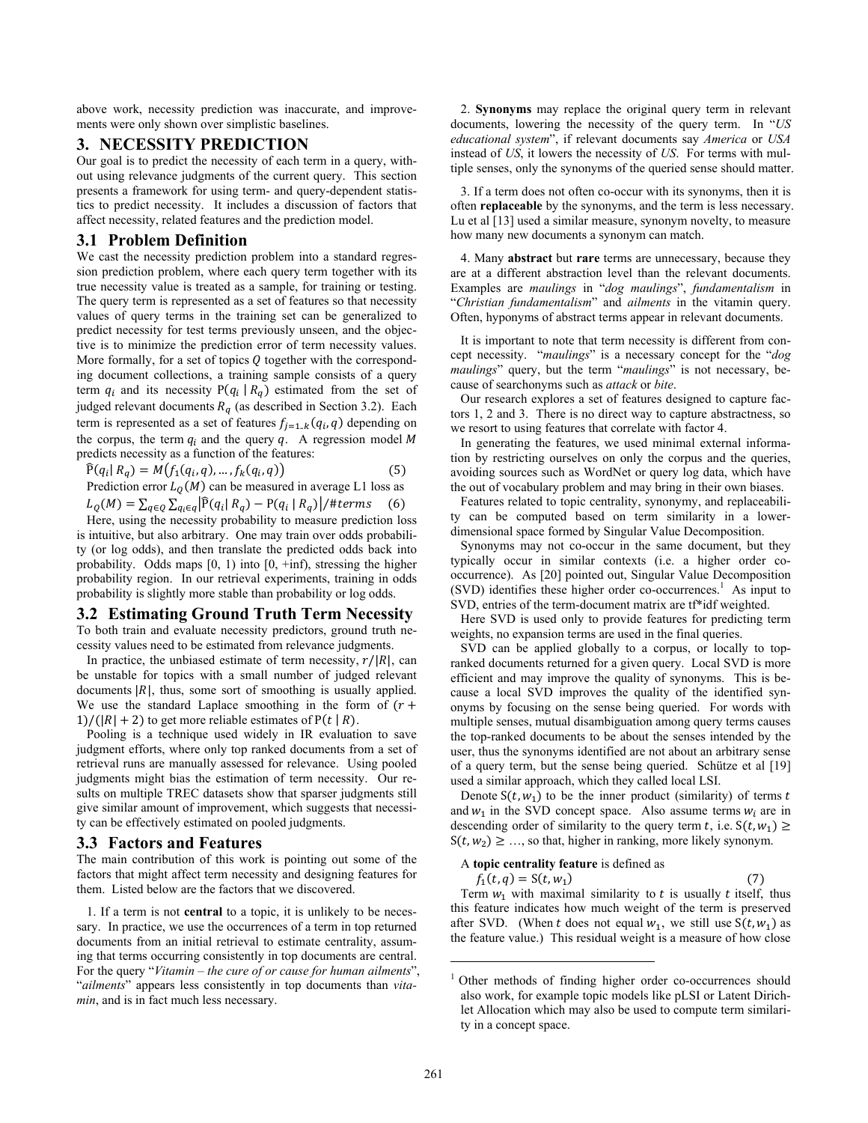above work, necessity prediction was inaccurate, and improvements were only shown over simplistic baselines.

# **3. NECESSITY PREDICTION**

Our goal is to predict the necessity of each term in a query, without using relevance judgments of the current query. This section presents a framework for using term- and query-dependent statistics to predict necessity. It includes a discussion of factors that affect necessity, related features and the prediction model.

# **3.1 Problem Definition**

We cast the necessity prediction problem into a standard regression prediction problem, where each query term together with its true necessity value is treated as a sample, for training or testing. The query term is represented as a set of features so that necessity values of query terms in the training set can be generalized to predict necessity for test terms previously unseen, and the objective is to minimize the prediction error of term necessity values. More formally, for a set of topics  $Q$  together with the corresponding document collections, a training sample consists of a query term  $q_i$  and its necessity  $P(q_i | R_q)$  estimated from the set of judged relevant documents  $R_a$  (as described in Section 3.2). Each term is represented as a set of features  $f_{j=1..k}(q_i, q)$  depending on the corpus, the term  $q_i$  and the query  $q_i$ . A regression model M predicts necessity as a function of the features:

$$
\widehat{P}(q_i | R_q) = M(f_1(q_i, q), ..., f_k(q_i, q))
$$
\n(5)

**Prediction error** 
$$
L_Q(M)
$$
 can be measured in average L1 loss as

 $L_q(M) = \sum_{q \in Q} \sum_{q_i \in q} |\widehat{P}(q_i| R_q) - P(q_i | R_q)| / \# terms$  (6) Here, using the necessity probability to measure prediction loss is intuitive, but also arbitrary. One may train over odds probability (or log odds), and then translate the predicted odds back into probability. Odds maps  $[0, 1)$  into  $[0, +\text{inf})$ , stressing the higher probability region. In our retrieval experiments, training in odds probability is slightly more stable than probability or log odds.

# **3.2 Estimating Ground Truth Term Necessity**

To both train and evaluate necessity predictors, ground truth necessity values need to be estimated from relevance judgments.

In practice, the unbiased estimate of term necessity,  $r/|R|$ , can be unstable for topics with a small number of judged relevant documents  $|R|$ , thus, some sort of smoothing is usually applied. We use the standard Laplace smoothing in the form of  $(r +$  $1$ /( $|R| + 2$ ) to get more reliable estimates of P(t | R).

Pooling is a technique used widely in IR evaluation to save judgment efforts, where only top ranked documents from a set of retrieval runs are manually assessed for relevance. Using pooled judgments might bias the estimation of term necessity. Our results on multiple TREC datasets show that sparser judgments still give similar amount of improvement, which suggests that necessity can be effectively estimated on pooled judgments.

#### **3.3 Factors and Features**

The main contribution of this work is pointing out some of the factors that might affect term necessity and designing features for them. Listed below are the factors that we discovered.

1. If a term is not **central** to a topic, it is unlikely to be necessary. In practice, we use the occurrences of a term in top returned documents from an initial retrieval to estimate centrality, assuming that terms occurring consistently in top documents are central. For the query "*Vitamin – the cure of or cause for human ailments*", "*ailments*" appears less consistently in top documents than *vitamin*, and is in fact much less necessary.

2. **Synonyms** may replace the original query term in relevant documents, lowering the necessity of the query term. In "*US educational system*", if relevant documents say *America* or *USA* instead of *US*, it lowers the necessity of *US*. For terms with multiple senses, only the synonyms of the queried sense should matter.

3. If a term does not often co-occur with its synonyms, then it is often **replaceable** by the synonyms, and the term is less necessary. Lu et al [13] used a similar measure, synonym novelty, to measure how many new documents a synonym can match.

4. Many **abstract** but **rare** terms are unnecessary, because they are at a different abstraction level than the relevant documents. Examples are *maulings* in "*dog maulings*", *fundamentalism* in "*Christian fundamentalism*" and *ailments* in the vitamin query. Often, hyponyms of abstract terms appear in relevant documents.

It is important to note that term necessity is different from concept necessity. "*maulings*" is a necessary concept for the "*dog maulings*" query, but the term "*maulings*" is not necessary, because of searchonyms such as *attack* or *bite*.

Our research explores a set of features designed to capture factors 1, 2 and 3. There is no direct way to capture abstractness, so we resort to using features that correlate with factor 4.

In generating the features, we used minimal external information by restricting ourselves on only the corpus and the queries, avoiding sources such as WordNet or query log data, which have the out of vocabulary problem and may bring in their own biases.

Features related to topic centrality, synonymy, and replaceability can be computed based on term similarity in a lowerdimensional space formed by Singular Value Decomposition.

Synonyms may not co-occur in the same document, but they typically occur in similar contexts (i.e. a higher order cooccurrence). As [20] pointed out, Singular Value Decomposition (SVD) identifies these higher order co-occurrences.1 As input to SVD, entries of the term-document matrix are tf\*idf weighted.

Here SVD is used only to provide features for predicting term weights, no expansion terms are used in the final queries.

SVD can be applied globally to a corpus, or locally to topranked documents returned for a given query. Local SVD is more efficient and may improve the quality of synonyms. This is because a local SVD improves the quality of the identified synonyms by focusing on the sense being queried. For words with multiple senses, mutual disambiguation among query terms causes the top-ranked documents to be about the senses intended by the user, thus the synonyms identified are not about an arbitrary sense of a query term, but the sense being queried. Schütze et al [19] used a similar approach, which they called local LSI.

Denote  $S(t, w_1)$  to be the inner product (similarity) of terms t and  $w_1$  in the SVD concept space. Also assume terms  $w_i$  are in descending order of similarity to the query term t, i.e.  $S(t, w_1) \geq$  $S(t, w_2) \geq \ldots$ , so that, higher in ranking, more likely synonym.

A **topic centrality feature** is defined as

 $f_1(t,q) = S(t,w_1)$ 

Term  $w_1$  with maximal similarity to t is usually t itself, thus this feature indicates how much weight of the term is preserved after SVD. (When t does not equal  $w_1$ , we still use  $S(t, w_1)$  as the feature value.) This residual weight is a measure of how close

1

<sup>&</sup>lt;sup>1</sup> Other methods of finding higher order co-occurrences should also work, for example topic models like pLSI or Latent Dirichlet Allocation which may also be used to compute term similarity in a concept space.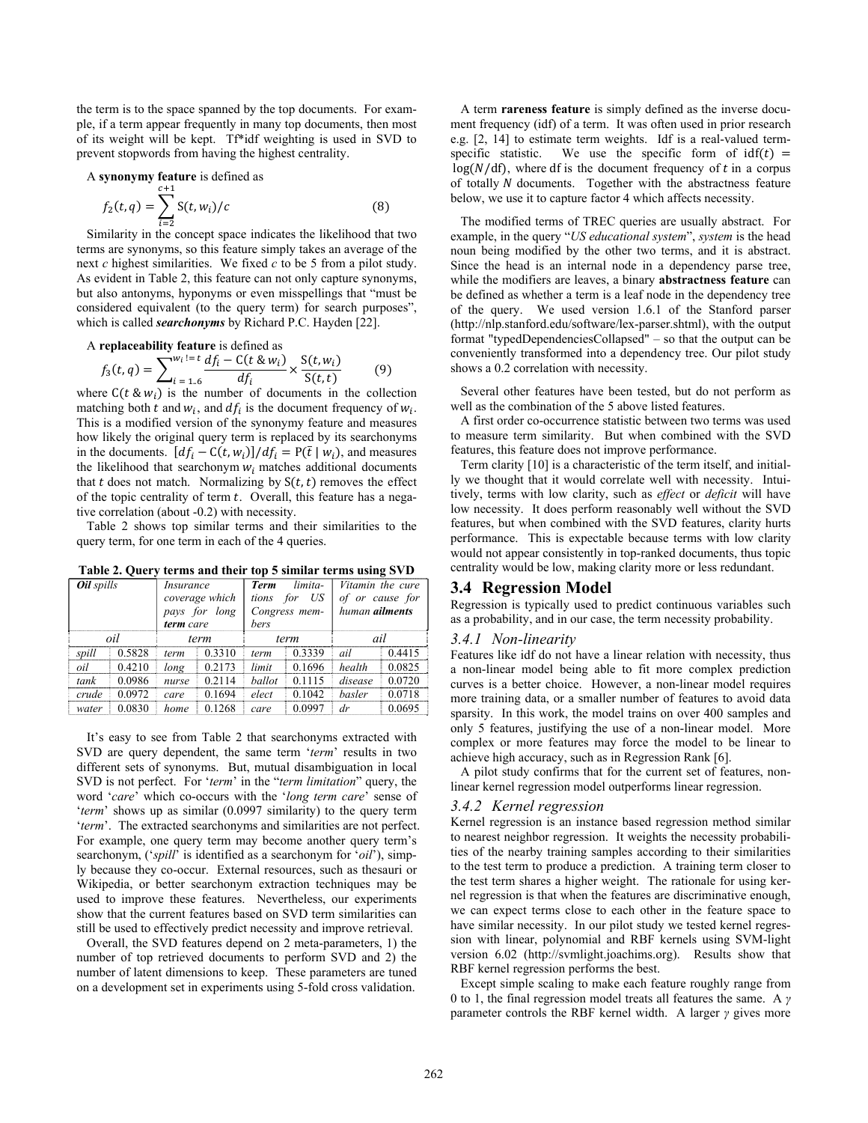the term is to the space spanned by the top documents. For example, if a term appear frequently in many top documents, then most of its weight will be kept. Tf\*idf weighting is used in SVD to prevent stopwords from having the highest centrality.

A **synonymy feature** is defined as

$$
f_2(t,q) = \sum_{i=2}^{c+1} S(t,w_i)/c
$$
 (8)

Similarity in the concept space indicates the likelihood that two terms are synonyms, so this feature simply takes an average of the next *c* highest similarities. We fixed *c* to be 5 from a pilot study. As evident in Table 2, this feature can not only capture synonyms, but also antonyms, hyponyms or even misspellings that "must be considered equivalent (to the query term) for search purposes", which is called *searchonyms* by Richard P.C. Hayden [22].

A **replacedibility feature** is defined as  

$$
f_3(t, q) = \sum_{i=1.6}^{w_i} \frac{df_i - C(t \& w_i)}{df_i} \times \frac{S(t, w_i)}{S(t, t)}
$$
(9)

where  $C(t \& w_i)$  is the number of documents in the collection matching both t and  $w_i$ , and  $df_i$  is the document frequency of  $w_i$ . This is a modified version of the synonymy feature and measures how likely the original query term is replaced by its searchonyms in the documents.  $[df_i - C(t, w_i)]/df_i = P(\bar{t} | w_i)$ , and measures the likelihood that searchonym  $w_i$  matches additional documents that t does not match. Normalizing by  $S(t, t)$  removes the effect of the topic centrality of term  $t$ . Overall, this feature has a negative correlation (about -0.2) with necessity.

Table 2 shows top similar terms and their similarities to the query term, for one term in each of the 4 queries.

| <b>Oil</b> spills |        | Insurance<br>term care | coverage which<br>pays for long | limita-<br><b>Term</b><br>US<br>for<br>tions<br>Congress mem-<br>bers |        | Vitamin the cure<br>of or cause for<br>human <b>ailments</b> |        |
|-------------------|--------|------------------------|---------------------------------|-----------------------------------------------------------------------|--------|--------------------------------------------------------------|--------|
|                   | oil    |                        | term                            |                                                                       | term   | ail                                                          |        |
| spill             | 0.5828 | term                   | 0.3310                          | term                                                                  | 0.3339 | ail                                                          | 0.4415 |
| oil               | 0.4210 | long                   | 0.2173                          | limit                                                                 | 0.1696 | health                                                       | 0.0825 |
| tank              | 0.0986 | nurse                  | 0.2114                          | ballot                                                                | 0.1115 | disease                                                      | 0.0720 |
| crude             | 0.0972 | care                   | 0.1694                          | elect                                                                 | 0.1042 | <i>hasler</i>                                                | 0.0718 |
| water             | 0.0830 | home                   | 0.1268                          | care                                                                  | 0.0997 | dr                                                           | 0.0695 |

**Table 2. Query terms and their top 5 similar terms using SVD** 

It's easy to see from Table 2 that searchonyms extracted with SVD are query dependent, the same term '*term*' results in two different sets of synonyms. But, mutual disambiguation in local SVD is not perfect. For '*term*' in the "*term limitation*" query, the word '*care*' which co-occurs with the '*long term care*' sense of '*term*' shows up as similar (0.0997 similarity) to the query term '*term*'. The extracted searchonyms and similarities are not perfect. For example, one query term may become another query term's searchonym, ('*spill*' is identified as a searchonym for '*oil*'), simply because they co-occur. External resources, such as thesauri or Wikipedia, or better searchonym extraction techniques may be used to improve these features. Nevertheless, our experiments show that the current features based on SVD term similarities can still be used to effectively predict necessity and improve retrieval.

Overall, the SVD features depend on 2 meta-parameters, 1) the number of top retrieved documents to perform SVD and 2) the number of latent dimensions to keep. These parameters are tuned on a development set in experiments using 5-fold cross validation.

A term **rareness feature** is simply defined as the inverse document frequency (idf) of a term. It was often used in prior research e.g. [2, 14] to estimate term weights. Idf is a real-valued termspecific statistic. We use the specific form of  $\text{idf}(t) =$  $log(N/df)$ , where df is the document frequency of t in a corpus of totally N documents. Together with the abstractness feature below, we use it to capture factor 4 which affects necessity.

The modified terms of TREC queries are usually abstract. For example, in the query "*US educational system*", *system* is the head noun being modified by the other two terms, and it is abstract. Since the head is an internal node in a dependency parse tree, while the modifiers are leaves, a binary **abstractness feature** can be defined as whether a term is a leaf node in the dependency tree of the query. We used version 1.6.1 of the Stanford parser (http://nlp.stanford.edu/software/lex-parser.shtml), with the output format "typedDependenciesCollapsed" – so that the output can be conveniently transformed into a dependency tree. Our pilot study shows a 0.2 correlation with necessity.

Several other features have been tested, but do not perform as well as the combination of the 5 above listed features.

A first order co-occurrence statistic between two terms was used to measure term similarity. But when combined with the SVD features, this feature does not improve performance.

Term clarity [10] is a characteristic of the term itself, and initially we thought that it would correlate well with necessity. Intuitively, terms with low clarity, such as *effect* or *deficit* will have low necessity. It does perform reasonably well without the SVD features, but when combined with the SVD features, clarity hurts performance. This is expectable because terms with low clarity would not appear consistently in top-ranked documents, thus topic centrality would be low, making clarity more or less redundant.

#### **3.4 Regression Model**

Regression is typically used to predict continuous variables such as a probability, and in our case, the term necessity probability.

#### *3.4.1 Non-linearity*

Features like idf do not have a linear relation with necessity, thus a non-linear model being able to fit more complex prediction curves is a better choice. However, a non-linear model requires more training data, or a smaller number of features to avoid data sparsity. In this work, the model trains on over 400 samples and only 5 features, justifying the use of a non-linear model. More complex or more features may force the model to be linear to achieve high accuracy, such as in Regression Rank [6].

A pilot study confirms that for the current set of features, nonlinear kernel regression model outperforms linear regression.

#### *3.4.2 Kernel regression*

Kernel regression is an instance based regression method similar to nearest neighbor regression. It weights the necessity probabilities of the nearby training samples according to their similarities to the test term to produce a prediction. A training term closer to the test term shares a higher weight. The rationale for using kernel regression is that when the features are discriminative enough, we can expect terms close to each other in the feature space to have similar necessity. In our pilot study we tested kernel regression with linear, polynomial and RBF kernels using SVM-light version 6.02 (http://svmlight.joachims.org). Results show that RBF kernel regression performs the best.

Except simple scaling to make each feature roughly range from 0 to 1, the final regression model treats all features the same. A *γ* parameter controls the RBF kernel width. A larger *γ* gives more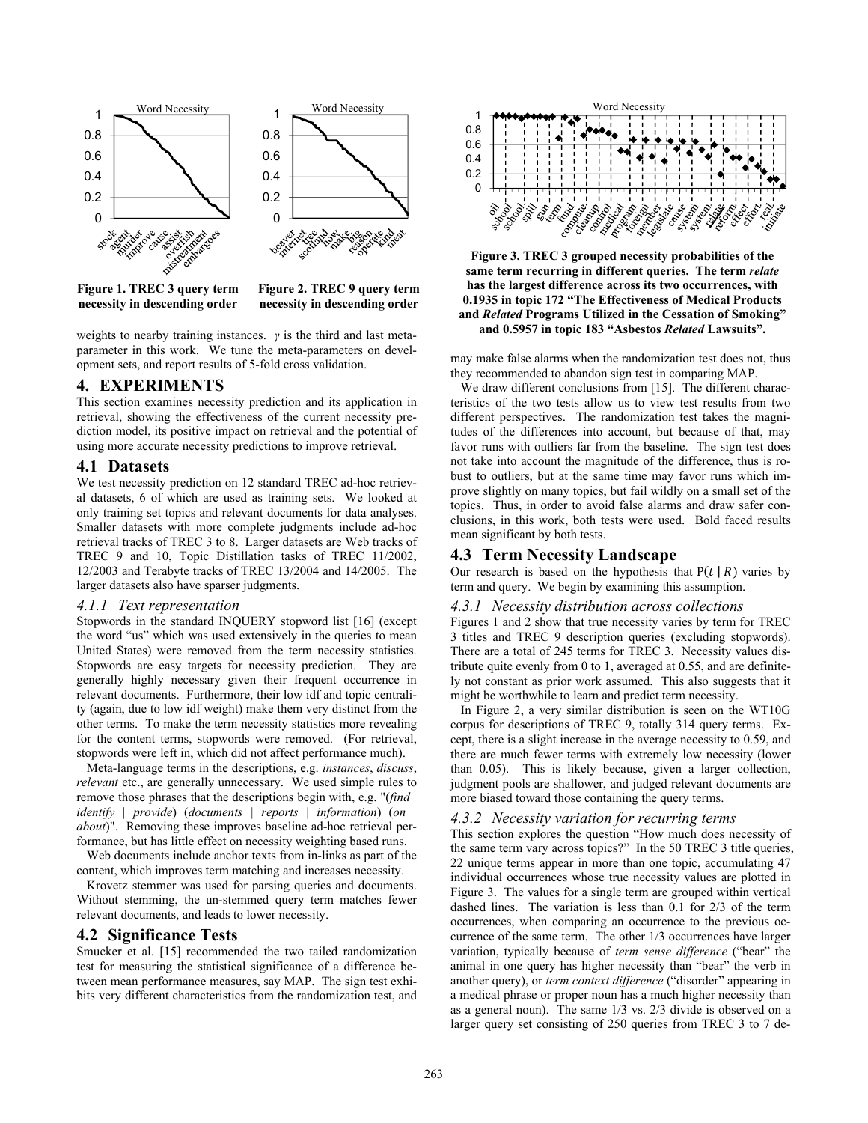

**Figure 1. TREC 3 query term necessity in descending order** 

**Figure 2. TREC 9 query term necessity in descending order**

weights to nearby training instances. *γ* is the third and last metaparameter in this work. We tune the meta-parameters on development sets, and report results of 5-fold cross validation.

## **4. EXPERIMENTS**

This section examines necessity prediction and its application in retrieval, showing the effectiveness of the current necessity prediction model, its positive impact on retrieval and the potential of using more accurate necessity predictions to improve retrieval.

### **4.1 Datasets**

We test necessity prediction on 12 standard TREC ad-hoc retrieval datasets, 6 of which are used as training sets. We looked at only training set topics and relevant documents for data analyses. Smaller datasets with more complete judgments include ad-hoc retrieval tracks of TREC 3 to 8. Larger datasets are Web tracks of TREC 9 and 10, Topic Distillation tasks of TREC 11/2002, 12/2003 and Terabyte tracks of TREC 13/2004 and 14/2005. The larger datasets also have sparser judgments.

#### *4.1.1 Text representation*

Stopwords in the standard INQUERY stopword list [16] (except the word "us" which was used extensively in the queries to mean United States) were removed from the term necessity statistics. Stopwords are easy targets for necessity prediction. They are generally highly necessary given their frequent occurrence in relevant documents. Furthermore, their low idf and topic centrality (again, due to low idf weight) make them very distinct from the other terms. To make the term necessity statistics more revealing for the content terms, stopwords were removed. (For retrieval, stopwords were left in, which did not affect performance much).

Meta-language terms in the descriptions, e.g. *instances*, *discuss*, *relevant* etc., are generally unnecessary. We used simple rules to remove those phrases that the descriptions begin with, e.g. "(*find | identify | provide*) (*documents | reports | information*) (*on | about*)". Removing these improves baseline ad-hoc retrieval performance, but has little effect on necessity weighting based runs.

Web documents include anchor texts from in-links as part of the content, which improves term matching and increases necessity.

Krovetz stemmer was used for parsing queries and documents. Without stemming, the un-stemmed query term matches fewer relevant documents, and leads to lower necessity.

## **4.2 Significance Tests**

Smucker et al. [15] recommended the two tailed randomization test for measuring the statistical significance of a difference between mean performance measures, say MAP. The sign test exhibits very different characteristics from the randomization test, and



**Figure 3. TREC 3 grouped necessity probabilities of the same term recurring in different queries. The term** *relate* **has the largest difference across its two occurrences, with 0.1935 in topic 172 "The Effectiveness of Medical Products and** *Related* **Programs Utilized in the Cessation of Smoking" and 0.5957 in topic 183 "Asbestos** *Related* **Lawsuits".** 

may make false alarms when the randomization test does not, thus they recommended to abandon sign test in comparing MAP.

We draw different conclusions from [15]. The different characteristics of the two tests allow us to view test results from two different perspectives. The randomization test takes the magnitudes of the differences into account, but because of that, may favor runs with outliers far from the baseline. The sign test does not take into account the magnitude of the difference, thus is robust to outliers, but at the same time may favor runs which improve slightly on many topics, but fail wildly on a small set of the topics. Thus, in order to avoid false alarms and draw safer conclusions, in this work, both tests were used. Bold faced results mean significant by both tests.

# **4.3 Term Necessity Landscape**

Our research is based on the hypothesis that  $P(t | R)$  varies by term and query. We begin by examining this assumption.

#### *4.3.1 Necessity distribution across collections*

Figures 1 and 2 show that true necessity varies by term for TREC 3 titles and TREC 9 description queries (excluding stopwords). There are a total of 245 terms for TREC 3. Necessity values distribute quite evenly from 0 to 1, averaged at 0.55, and are definitely not constant as prior work assumed. This also suggests that it might be worthwhile to learn and predict term necessity.

In Figure 2, a very similar distribution is seen on the WT10G corpus for descriptions of TREC 9, totally 314 query terms. Except, there is a slight increase in the average necessity to 0.59, and there are much fewer terms with extremely low necessity (lower than 0.05). This is likely because, given a larger collection, judgment pools are shallower, and judged relevant documents are more biased toward those containing the query terms.

#### *4.3.2 Necessity variation for recurring terms*

This section explores the question "How much does necessity of the same term vary across topics?" In the 50 TREC 3 title queries, 22 unique terms appear in more than one topic, accumulating 47 individual occurrences whose true necessity values are plotted in Figure 3. The values for a single term are grouped within vertical dashed lines. The variation is less than 0.1 for 2/3 of the term occurrences, when comparing an occurrence to the previous occurrence of the same term. The other 1/3 occurrences have larger variation, typically because of *term sense difference* ("bear" the animal in one query has higher necessity than "bear" the verb in another query), or *term context difference* ("disorder" appearing in a medical phrase or proper noun has a much higher necessity than as a general noun). The same 1/3 vs. 2/3 divide is observed on a larger query set consisting of 250 queries from TREC 3 to 7 de-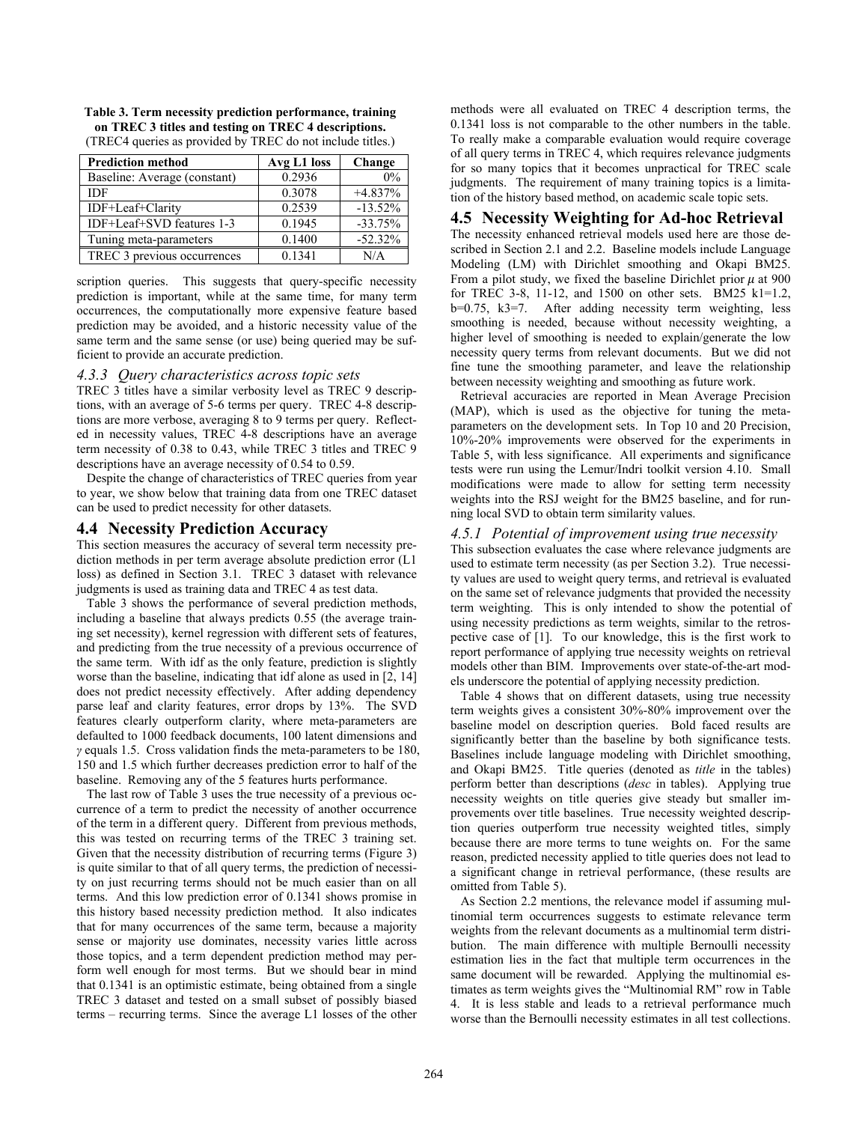| <b>Prediction method</b>     | Avg L1 loss | Change    |
|------------------------------|-------------|-----------|
| Baseline: Average (constant) | 0.2936      | 0%        |
| IDF                          | 0.3078      | $+4.837%$ |
| IDF+Leaf+Clarity             | 0.2539      | $-13.52%$ |
| IDF+Leaf+SVD features 1-3    | 0.1945      | $-33.75%$ |
| Tuning meta-parameters       | 0.1400      | $-52.32%$ |
| TREC 3 previous occurrences  | 0.1341      | N/A       |

**Table 3. Term necessity prediction performance, training on TREC 3 titles and testing on TREC 4 descriptions.**  (TREC4 queries as provided by TREC do not include titles.)

scription queries. This suggests that query-specific necessity prediction is important, while at the same time, for many term occurrences, the computationally more expensive feature based prediction may be avoided, and a historic necessity value of the same term and the same sense (or use) being queried may be sufficient to provide an accurate prediction.

#### *4.3.3 Query characteristics across topic sets*

TREC 3 titles have a similar verbosity level as TREC 9 descriptions, with an average of 5-6 terms per query. TREC 4-8 descriptions are more verbose, averaging 8 to 9 terms per query. Reflected in necessity values, TREC 4-8 descriptions have an average term necessity of 0.38 to 0.43, while TREC 3 titles and TREC 9 descriptions have an average necessity of 0.54 to 0.59.

Despite the change of characteristics of TREC queries from year to year, we show below that training data from one TREC dataset can be used to predict necessity for other datasets.

## **4.4 Necessity Prediction Accuracy**

This section measures the accuracy of several term necessity prediction methods in per term average absolute prediction error (L1 loss) as defined in Section 3.1. TREC 3 dataset with relevance judgments is used as training data and TREC 4 as test data.

Table 3 shows the performance of several prediction methods, including a baseline that always predicts 0.55 (the average training set necessity), kernel regression with different sets of features, and predicting from the true necessity of a previous occurrence of the same term. With idf as the only feature, prediction is slightly worse than the baseline, indicating that idf alone as used in [2, 14] does not predict necessity effectively. After adding dependency parse leaf and clarity features, error drops by 13%. The SVD features clearly outperform clarity, where meta-parameters are defaulted to 1000 feedback documents, 100 latent dimensions and *γ* equals 1.5. Cross validation finds the meta-parameters to be 180, 150 and 1.5 which further decreases prediction error to half of the baseline. Removing any of the 5 features hurts performance.

The last row of Table 3 uses the true necessity of a previous occurrence of a term to predict the necessity of another occurrence of the term in a different query. Different from previous methods, this was tested on recurring terms of the TREC 3 training set. Given that the necessity distribution of recurring terms (Figure 3) is quite similar to that of all query terms, the prediction of necessity on just recurring terms should not be much easier than on all terms. And this low prediction error of 0.1341 shows promise in this history based necessity prediction method. It also indicates that for many occurrences of the same term, because a majority sense or majority use dominates, necessity varies little across those topics, and a term dependent prediction method may perform well enough for most terms. But we should bear in mind that 0.1341 is an optimistic estimate, being obtained from a single TREC 3 dataset and tested on a small subset of possibly biased terms – recurring terms. Since the average L1 losses of the other

methods were all evaluated on TREC 4 description terms, the 0.1341 loss is not comparable to the other numbers in the table. To really make a comparable evaluation would require coverage of all query terms in TREC 4, which requires relevance judgments for so many topics that it becomes unpractical for TREC scale judgments. The requirement of many training topics is a limitation of the history based method, on academic scale topic sets.

# **4.5 Necessity Weighting for Ad-hoc Retrieval**

The necessity enhanced retrieval models used here are those described in Section 2.1 and 2.2. Baseline models include Language Modeling (LM) with Dirichlet smoothing and Okapi BM25. From a pilot study, we fixed the baseline Dirichlet prior  $\mu$  at 900 for TREC 3-8, 11-12, and 1500 on other sets. BM25 k1=1.2, b=0.75, k3=7. After adding necessity term weighting, less smoothing is needed, because without necessity weighting, a higher level of smoothing is needed to explain/generate the low necessity query terms from relevant documents. But we did not fine tune the smoothing parameter, and leave the relationship between necessity weighting and smoothing as future work.

Retrieval accuracies are reported in Mean Average Precision (MAP), which is used as the objective for tuning the metaparameters on the development sets. In Top 10 and 20 Precision, 10%-20% improvements were observed for the experiments in Table 5, with less significance. All experiments and significance tests were run using the Lemur/Indri toolkit version 4.10. Small modifications were made to allow for setting term necessity weights into the RSJ weight for the BM25 baseline, and for running local SVD to obtain term similarity values.

#### *4.5.1 Potential of improvement using true necessity*

This subsection evaluates the case where relevance judgments are used to estimate term necessity (as per Section 3.2). True necessity values are used to weight query terms, and retrieval is evaluated on the same set of relevance judgments that provided the necessity term weighting. This is only intended to show the potential of using necessity predictions as term weights, similar to the retrospective case of [1]. To our knowledge, this is the first work to report performance of applying true necessity weights on retrieval models other than BIM. Improvements over state-of-the-art models underscore the potential of applying necessity prediction.

Table 4 shows that on different datasets, using true necessity term weights gives a consistent 30%-80% improvement over the baseline model on description queries. Bold faced results are significantly better than the baseline by both significance tests. Baselines include language modeling with Dirichlet smoothing, and Okapi BM25. Title queries (denoted as *title* in the tables) perform better than descriptions (*desc* in tables). Applying true necessity weights on title queries give steady but smaller improvements over title baselines. True necessity weighted description queries outperform true necessity weighted titles, simply because there are more terms to tune weights on. For the same reason, predicted necessity applied to title queries does not lead to a significant change in retrieval performance, (these results are omitted from Table 5).

As Section 2.2 mentions, the relevance model if assuming multinomial term occurrences suggests to estimate relevance term weights from the relevant documents as a multinomial term distribution. The main difference with multiple Bernoulli necessity estimation lies in the fact that multiple term occurrences in the same document will be rewarded. Applying the multinomial estimates as term weights gives the "Multinomial RM" row in Table 4. It is less stable and leads to a retrieval performance much worse than the Bernoulli necessity estimates in all test collections.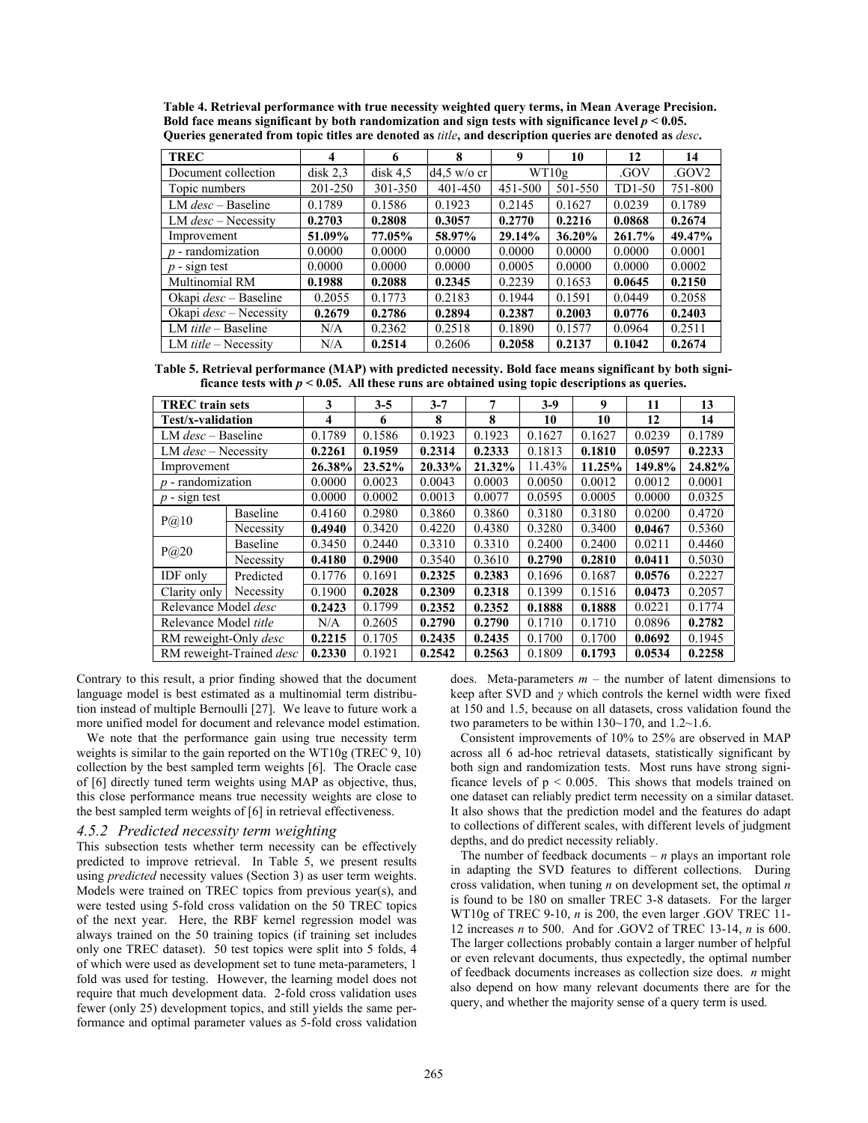| Queries generated from topic titles are denoted as <i>the</i> , and description queries are denoted as <i>desc</i> . |          |          |               |         |           |        |                  |  |
|----------------------------------------------------------------------------------------------------------------------|----------|----------|---------------|---------|-----------|--------|------------------|--|
| <b>TREC</b>                                                                                                          |          | 6        | 8             | 9       | 10        | 12     | 14               |  |
| Document collection                                                                                                  | disk 2,3 | disk 4.5 | $d4.5$ w/o cr |         | WT10g     | .GOV   | GOV <sub>2</sub> |  |
| Topic numbers                                                                                                        | 201-250  | 301-350  | 401-450       | 451-500 | 501-550   | TD1-50 | 751-800          |  |
| LM $desc - Baseline$                                                                                                 | 0.1789   | 0.1586   | 0.1923        | 0.2145  | 0.1627    | 0.0239 | 0.1789           |  |
| LM $desc$ – Necessity                                                                                                | 0.2703   | 0.2808   | 0.3057        | 0.2770  | 0.2216    | 0.0868 | 0.2674           |  |
| Improvement                                                                                                          | 51.09%   | 77.05%   | 58.97%        | 29.14%  | $36.20\%$ | 261.7% | 49.47%           |  |
| $p$ - randomization                                                                                                  | 0.0000   | 0.0000   | 0.0000        | 0.0000  | 0.0000    | 0.0000 | 0.0001           |  |
| $p$ - sign test                                                                                                      | 0.0000   | 0.0000   | 0.0000        | 0.0005  | 0.0000    | 0.0000 | 0.0002           |  |
| Multinomial RM                                                                                                       | 0.1988   | 0.2088   | 0.2345        | 0.2239  | 0.1653    | 0.0645 | 0.2150           |  |
| Okapi <i>desc</i> – Baseline                                                                                         | 0.2055   | 0.1773   | 0.2183        | 0.1944  | 0.1591    | 0.0449 | 0.2058           |  |
| Okapi $desc$ – Necessity                                                                                             | 0.2679   | 0.2786   | 0.2894        | 0.2387  | 0.2003    | 0.0776 | 0.2403           |  |
| LM $title - Baseline$                                                                                                | N/A      | 0.2362   | 0.2518        | 0.1890  | 0.1577    | 0.0964 | 0.2511           |  |
| LM $title$ – Necessity                                                                                               | N/A      | 0.2514   | 0.2606        | 0.2058  | 0.2137    | 0.1042 | 0.2674           |  |

**Table 4. Retrieval performance with true necessity weighted query terms, in Mean Average Precision. Bold face means significant by both randomization and sign tests with significance level**  $p < 0.05$ **.<br>Queries generated from tonic titles are denoted as** *title***, and description queries are denoted as** *de* **Queries generated from topic titles are denoted as** *title***, and description queries are denoted as** *desc***.** 

**Table 5. Retrieval performance (MAP) with predicted necessity. Bold face means significant by both significance tests with**  $p < 0.05$ **. All these runs are obtained using topic descriptions as queries.** 

| <b>TREC</b> train sets       |                          | 3      | $3 - 5$ | $3 - 7$ | 7      | $3-9$  | 9      | 11     | 13     |
|------------------------------|--------------------------|--------|---------|---------|--------|--------|--------|--------|--------|
| Test/x-validation            |                          | 4      | 6       | 8       | 8      | 10     | 10     | 12     | 14     |
| LM $desc - Baseline$         |                          | 0.1789 | 0.1586  | 0.1923  | 0.1923 | 0.1627 | 0.1627 | 0.0239 | 0.1789 |
| LM $desc$ – Necessity        |                          | 0.2261 | 0.1959  | 0.2314  | 0.2333 | 0.1813 | 0.1810 | 0.0597 | 0.2233 |
| Improvement                  |                          | 26.38% | 23.52%  | 20.33%  | 21.32% | 11.43% | 11.25% | 149.8% | 24.82% |
| $p$ - randomization          |                          | 0.0000 | 0.0023  | 0.0043  | 0.0003 | 0.0050 | 0.0012 | 0.0012 | 0.0001 |
| $p$ - sign test              |                          | 0.0000 | 0.0002  | 0.0013  | 0.0077 | 0.0595 | 0.0005 | 0.0000 | 0.0325 |
|                              | <b>Baseline</b>          | 0.4160 | 0.2980  | 0.3860  | 0.3860 | 0.3180 | 0.3180 | 0.0200 | 0.4720 |
| P@10                         | Necessity                | 0.4940 | 0.3420  | 0.4220  | 0.4380 | 0.3280 | 0.3400 | 0.0467 | 0.5360 |
|                              | <b>Baseline</b>          | 0.3450 | 0.2440  | 0.3310  | 0.3310 | 0.2400 | 0.2400 | 0.0211 | 0.4460 |
| P@20                         | Necessity                | 0.4180 | 0.2900  | 0.3540  | 0.3610 | 0.2790 | 0.2810 | 0.0411 | 0.5030 |
| <b>IDF</b> only              | Predicted                | 0.1776 | 0.1691  | 0.2325  | 0.2383 | 0.1696 | 0.1687 | 0.0576 | 0.2227 |
| Clarity only                 | Necessity                | 0.1900 | 0.2028  | 0.2309  | 0.2318 | 0.1399 | 0.1516 | 0.0473 | 0.2057 |
| Relevance Model <i>desc</i>  |                          | 0.2423 | 0.1799  | 0.2352  | 0.2352 | 0.1888 | 0.1888 | 0.0221 | 0.1774 |
| Relevance Model title        |                          | N/A    | 0.2605  | 0.2790  | 0.2790 | 0.1710 | 0.1710 | 0.0896 | 0.2782 |
| RM reweight-Only <i>desc</i> |                          | 0.2215 | 0.1705  | 0.2435  | 0.2435 | 0.1700 | 0.1700 | 0.0692 | 0.1945 |
|                              | RM reweight-Trained desc | 0.2330 | 0.1921  | 0.2542  | 0.2563 | 0.1809 | 0.1793 | 0.0534 | 0.2258 |

Contrary to this result, a prior finding showed that the document language model is best estimated as a multinomial term distribution instead of multiple Bernoulli [27]. We leave to future work a more unified model for document and relevance model estimation.

We note that the performance gain using true necessity term weights is similar to the gain reported on the WT10g (TREC 9, 10) collection by the best sampled term weights [6]. The Oracle case of [6] directly tuned term weights using MAP as objective, thus, this close performance means true necessity weights are close to the best sampled term weights of [6] in retrieval effectiveness.

# *4.5.2 Predicted necessity term weighting*

This subsection tests whether term necessity can be effectively predicted to improve retrieval. In Table 5, we present results using *predicted* necessity values (Section 3) as user term weights. Models were trained on TREC topics from previous year(s), and were tested using 5-fold cross validation on the 50 TREC topics of the next year. Here, the RBF kernel regression model was always trained on the 50 training topics (if training set includes only one TREC dataset). 50 test topics were split into 5 folds, 4 of which were used as development set to tune meta-parameters, 1 fold was used for testing. However, the learning model does not require that much development data. 2-fold cross validation uses fewer (only 25) development topics, and still yields the same performance and optimal parameter values as 5-fold cross validation

does. Meta-parameters  $m -$  the number of latent dimensions to keep after SVD and *γ* which controls the kernel width were fixed at 150 and 1.5, because on all datasets, cross validation found the two parameters to be within 130~170, and 1.2~1.6.

Consistent improvements of 10% to 25% are observed in MAP across all 6 ad-hoc retrieval datasets, statistically significant by both sign and randomization tests. Most runs have strong significance levels of  $p < 0.005$ . This shows that models trained on one dataset can reliably predict term necessity on a similar dataset. It also shows that the prediction model and the features do adapt to collections of different scales, with different levels of judgment depths, and do predict necessity reliably.

The number of feedback documents  $- n$  plays an important role in adapting the SVD features to different collections. During cross validation, when tuning *n* on development set, the optimal *n* is found to be 180 on smaller TREC 3-8 datasets. For the larger WT10g of TREC 9-10, *n* is 200, the even larger .GOV TREC 11- 12 increases *n* to 500. And for .GOV2 of TREC 13-14, *n* is 600. The larger collections probably contain a larger number of helpful or even relevant documents, thus expectedly, the optimal number of feedback documents increases as collection size does. *n* might also depend on how many relevant documents there are for the query, and whether the majority sense of a query term is used.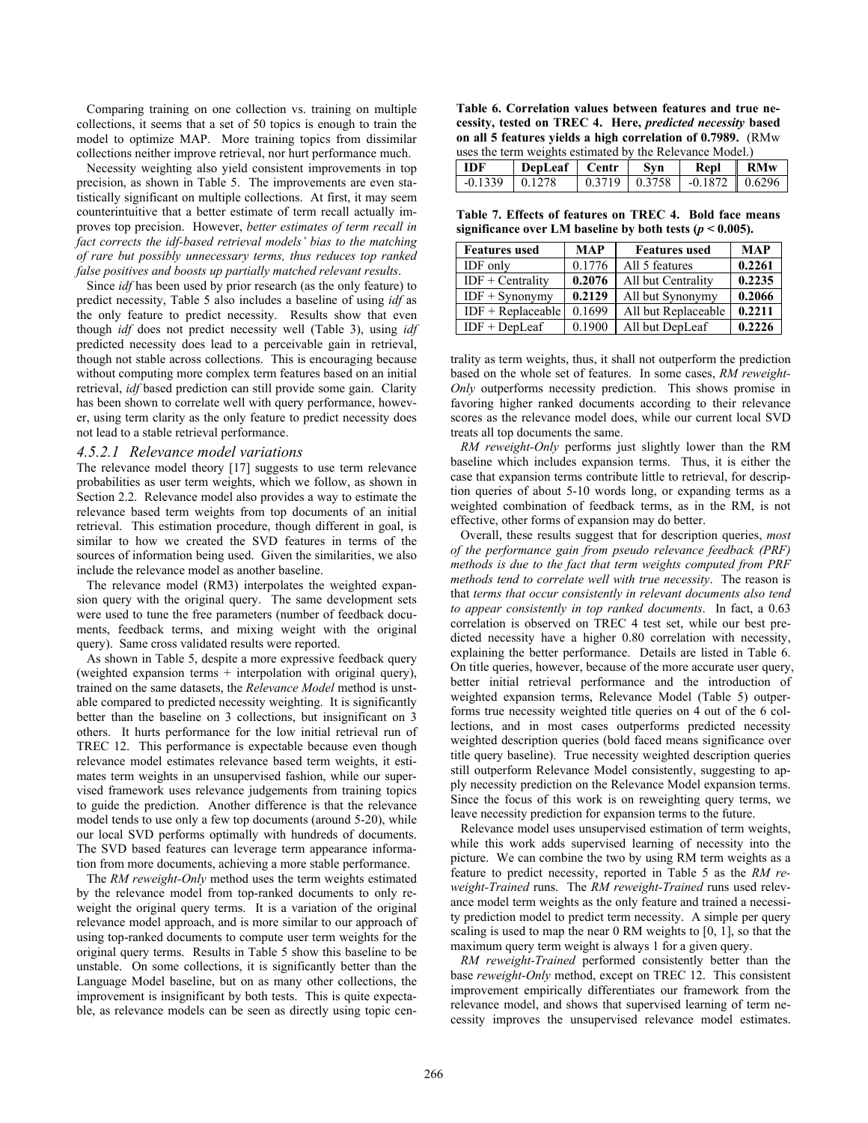Comparing training on one collection vs. training on multiple collections, it seems that a set of 50 topics is enough to train the model to optimize MAP. More training topics from dissimilar collections neither improve retrieval, nor hurt performance much.

Necessity weighting also yield consistent improvements in top precision, as shown in Table 5. The improvements are even statistically significant on multiple collections. At first, it may seem counterintuitive that a better estimate of term recall actually improves top precision. However, *better estimates of term recall in fact corrects the idf-based retrieval models' bias to the matching of rare but possibly unnecessary terms, thus reduces top ranked false positives and boosts up partially matched relevant results*.

Since *idf* has been used by prior research (as the only feature) to predict necessity, Table 5 also includes a baseline of using *idf* as the only feature to predict necessity. Results show that even though *idf* does not predict necessity well (Table 3), using *idf* predicted necessity does lead to a perceivable gain in retrieval, though not stable across collections. This is encouraging because without computing more complex term features based on an initial retrieval, *idf* based prediction can still provide some gain. Clarity has been shown to correlate well with query performance, however, using term clarity as the only feature to predict necessity does not lead to a stable retrieval performance.

#### *4.5.2.1 Relevance model variations*

The relevance model theory [17] suggests to use term relevance probabilities as user term weights, which we follow, as shown in Section 2.2. Relevance model also provides a way to estimate the relevance based term weights from top documents of an initial retrieval. This estimation procedure, though different in goal, is similar to how we created the SVD features in terms of the sources of information being used. Given the similarities, we also include the relevance model as another baseline.

The relevance model (RM3) interpolates the weighted expansion query with the original query. The same development sets were used to tune the free parameters (number of feedback documents, feedback terms, and mixing weight with the original query). Same cross validated results were reported.

As shown in Table 5, despite a more expressive feedback query (weighted expansion terms + interpolation with original query), trained on the same datasets, the *Relevance Model* method is unstable compared to predicted necessity weighting. It is significantly better than the baseline on 3 collections, but insignificant on 3 others. It hurts performance for the low initial retrieval run of TREC 12. This performance is expectable because even though relevance model estimates relevance based term weights, it estimates term weights in an unsupervised fashion, while our supervised framework uses relevance judgements from training topics to guide the prediction. Another difference is that the relevance model tends to use only a few top documents (around 5-20), while our local SVD performs optimally with hundreds of documents. The SVD based features can leverage term appearance information from more documents, achieving a more stable performance.

The *RM reweight-Only* method uses the term weights estimated by the relevance model from top-ranked documents to only reweight the original query terms. It is a variation of the original relevance model approach, and is more similar to our approach of using top-ranked documents to compute user term weights for the original query terms. Results in Table 5 show this baseline to be unstable. On some collections, it is significantly better than the Language Model baseline, but on as many other collections, the improvement is insignificant by both tests. This is quite expectable, as relevance models can be seen as directly using topic cen-

**Table 6. Correlation values between features and true necessity, tested on TREC 4. Here,** *predicted necessity* **based on all 5 features yields a high correlation of 0.7989.** (RMw uses the term weights estimated by the Relevance Model.)

| l IDF            | DepLeaf Centr | - Svn           | Repl RMw                   |  |
|------------------|---------------|-----------------|----------------------------|--|
| $-0.1339$ 0.1278 |               | $0.3719$ 0.3758 | $-0.1872 \parallel 0.6296$ |  |

**Table 7. Effects of features on TREC 4. Bold face means**  significance over LM baseline by both tests ( $p < 0.005$ ).

| <b>Features used</b> | <b>MAP</b> | <b>Features</b> used | <b>MAP</b> |
|----------------------|------------|----------------------|------------|
| <b>IDF</b> only      | 0.1776     | All 5 features       | 0.2261     |
| $IDF + Centrality$   | 0.2076     | All but Centrality   | 0.2235     |
| $IDF + Synonymv$     | 0.2129     | All but Synonymy     | 0.2066     |
| $IDF + Replaceable$  | 0.1699     | All but Replaceable  | 0.2211     |
| $IDF + DepLeaf$      | 0.1900     | All but DepLeaf      | 0.2226     |

trality as term weights, thus, it shall not outperform the prediction based on the whole set of features. In some cases, *RM reweight-Only* outperforms necessity prediction. This shows promise in favoring higher ranked documents according to their relevance scores as the relevance model does, while our current local SVD treats all top documents the same.

*RM reweight-Only* performs just slightly lower than the RM baseline which includes expansion terms. Thus, it is either the case that expansion terms contribute little to retrieval, for description queries of about 5-10 words long, or expanding terms as a weighted combination of feedback terms, as in the RM, is not effective, other forms of expansion may do better.

Overall, these results suggest that for description queries, *most of the performance gain from pseudo relevance feedback (PRF) methods is due to the fact that term weights computed from PRF methods tend to correlate well with true necessity*. The reason is that *terms that occur consistently in relevant documents also tend to appear consistently in top ranked documents*. In fact, a 0.63 correlation is observed on TREC 4 test set, while our best predicted necessity have a higher 0.80 correlation with necessity, explaining the better performance. Details are listed in Table 6. On title queries, however, because of the more accurate user query, better initial retrieval performance and the introduction of weighted expansion terms, Relevance Model (Table 5) outperforms true necessity weighted title queries on 4 out of the 6 collections, and in most cases outperforms predicted necessity weighted description queries (bold faced means significance over title query baseline). True necessity weighted description queries still outperform Relevance Model consistently, suggesting to apply necessity prediction on the Relevance Model expansion terms. Since the focus of this work is on reweighting query terms, we leave necessity prediction for expansion terms to the future.

Relevance model uses unsupervised estimation of term weights, while this work adds supervised learning of necessity into the picture. We can combine the two by using RM term weights as a feature to predict necessity, reported in Table 5 as the *RM reweight-Trained* runs. The *RM reweight-Trained* runs used relevance model term weights as the only feature and trained a necessity prediction model to predict term necessity. A simple per query scaling is used to map the near 0 RM weights to [0, 1], so that the maximum query term weight is always 1 for a given query.

*RM reweight-Trained* performed consistently better than the base *reweight-Only* method, except on TREC 12. This consistent improvement empirically differentiates our framework from the relevance model, and shows that supervised learning of term necessity improves the unsupervised relevance model estimates.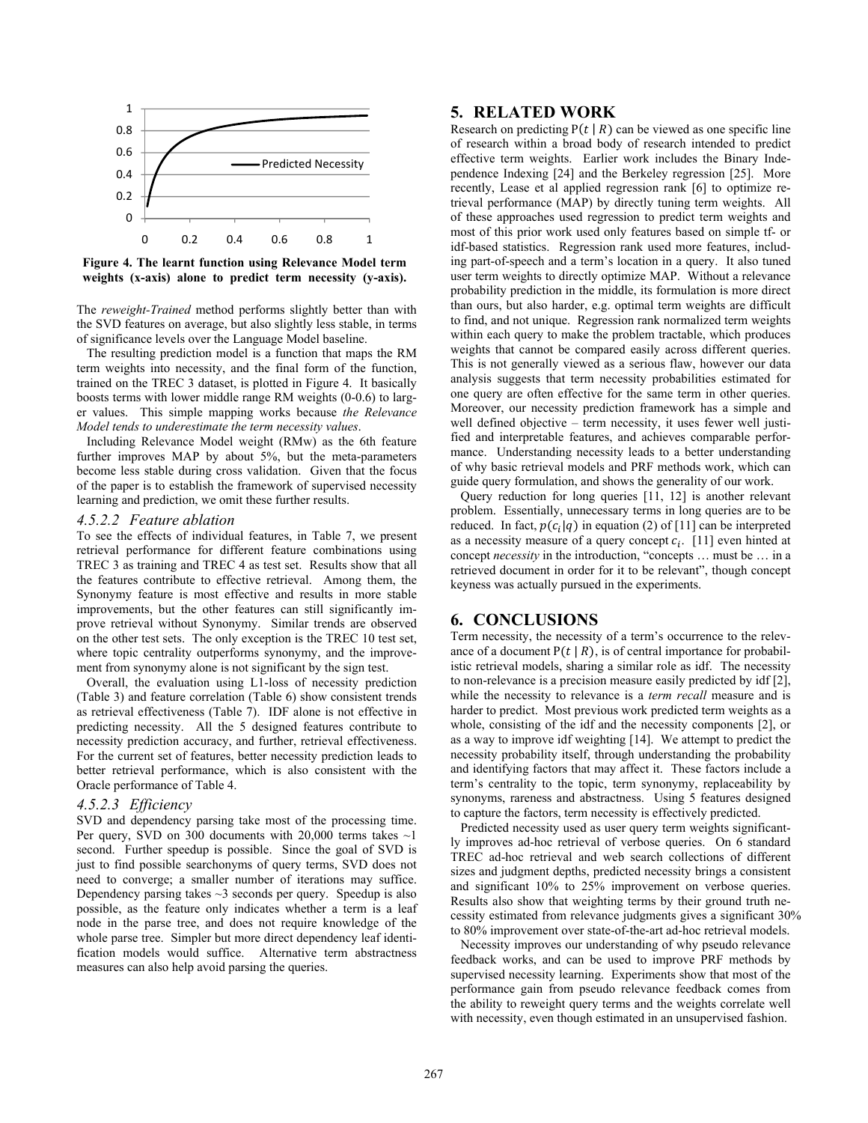

**Figure 4. The learnt function using Relevance Model term weights (x-axis) alone to predict term necessity (y-axis).**

The *reweight-Trained* method performs slightly better than with the SVD features on average, but also slightly less stable, in terms of significance levels over the Language Model baseline.

The resulting prediction model is a function that maps the RM term weights into necessity, and the final form of the function, trained on the TREC 3 dataset, is plotted in Figure 4. It basically boosts terms with lower middle range RM weights (0-0.6) to larger values. This simple mapping works because *the Relevance Model tends to underestimate the term necessity values*.

Including Relevance Model weight (RMw) as the 6th feature further improves MAP by about 5%, but the meta-parameters become less stable during cross validation. Given that the focus of the paper is to establish the framework of supervised necessity learning and prediction, we omit these further results.

#### *4.5.2.2 Feature ablation*

To see the effects of individual features, in Table 7, we present retrieval performance for different feature combinations using TREC 3 as training and TREC 4 as test set. Results show that all the features contribute to effective retrieval. Among them, the Synonymy feature is most effective and results in more stable improvements, but the other features can still significantly improve retrieval without Synonymy. Similar trends are observed on the other test sets. The only exception is the TREC 10 test set, where topic centrality outperforms synonymy, and the improvement from synonymy alone is not significant by the sign test.

Overall, the evaluation using L1-loss of necessity prediction (Table 3) and feature correlation (Table 6) show consistent trends as retrieval effectiveness (Table 7). IDF alone is not effective in predicting necessity. All the 5 designed features contribute to necessity prediction accuracy, and further, retrieval effectiveness. For the current set of features, better necessity prediction leads to better retrieval performance, which is also consistent with the Oracle performance of Table 4.

#### *4.5.2.3 Efficiency*

SVD and dependency parsing take most of the processing time. Per query, SVD on 300 documents with  $20,000$  terms takes  $\sim$ 1 second. Further speedup is possible. Since the goal of SVD is just to find possible searchonyms of query terms, SVD does not need to converge; a smaller number of iterations may suffice. Dependency parsing takes  $\sim$ 3 seconds per query. Speedup is also possible, as the feature only indicates whether a term is a leaf node in the parse tree, and does not require knowledge of the whole parse tree. Simpler but more direct dependency leaf identification models would suffice. Alternative term abstractness measures can also help avoid parsing the queries.

# **5. RELATED WORK**

Research on predicting  $P(t | R)$  can be viewed as one specific line of research within a broad body of research intended to predict effective term weights. Earlier work includes the Binary Independence Indexing [24] and the Berkeley regression [25]. More recently, Lease et al applied regression rank [6] to optimize retrieval performance (MAP) by directly tuning term weights. All of these approaches used regression to predict term weights and most of this prior work used only features based on simple tf- or idf-based statistics. Regression rank used more features, including part-of-speech and a term's location in a query. It also tuned user term weights to directly optimize MAP. Without a relevance probability prediction in the middle, its formulation is more direct than ours, but also harder, e.g. optimal term weights are difficult to find, and not unique. Regression rank normalized term weights within each query to make the problem tractable, which produces weights that cannot be compared easily across different queries. This is not generally viewed as a serious flaw, however our data analysis suggests that term necessity probabilities estimated for one query are often effective for the same term in other queries. Moreover, our necessity prediction framework has a simple and well defined objective – term necessity, it uses fewer well justified and interpretable features, and achieves comparable performance. Understanding necessity leads to a better understanding of why basic retrieval models and PRF methods work, which can guide query formulation, and shows the generality of our work.

Query reduction for long queries [11, 12] is another relevant problem. Essentially, unnecessary terms in long queries are to be reduced. In fact,  $p(c_i|q)$  in equation (2) of [11] can be interpreted as a necessity measure of a query concept  $c_i$ . [11] even hinted at concept *necessity* in the introduction, "concepts … must be … in a retrieved document in order for it to be relevant", though concept keyness was actually pursued in the experiments.

# **6. CONCLUSIONS**

Term necessity, the necessity of a term's occurrence to the relevance of a document  $P(t | R)$ , is of central importance for probabilistic retrieval models, sharing a similar role as idf. The necessity to non-relevance is a precision measure easily predicted by idf [2], while the necessity to relevance is a *term recall* measure and is harder to predict. Most previous work predicted term weights as a whole, consisting of the idf and the necessity components [2], or as a way to improve idf weighting [14]. We attempt to predict the necessity probability itself, through understanding the probability and identifying factors that may affect it. These factors include a term's centrality to the topic, term synonymy, replaceability by synonyms, rareness and abstractness. Using 5 features designed to capture the factors, term necessity is effectively predicted.

Predicted necessity used as user query term weights significantly improves ad-hoc retrieval of verbose queries. On 6 standard TREC ad-hoc retrieval and web search collections of different sizes and judgment depths, predicted necessity brings a consistent and significant 10% to 25% improvement on verbose queries. Results also show that weighting terms by their ground truth necessity estimated from relevance judgments gives a significant 30% to 80% improvement over state-of-the-art ad-hoc retrieval models.

Necessity improves our understanding of why pseudo relevance feedback works, and can be used to improve PRF methods by supervised necessity learning. Experiments show that most of the performance gain from pseudo relevance feedback comes from the ability to reweight query terms and the weights correlate well with necessity, even though estimated in an unsupervised fashion.